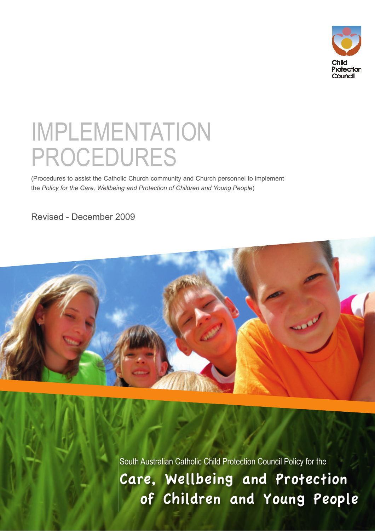

# IMPLEMENTATION PROCEDURES

(Procedures to assist the Catholic Church community and Church personnel to implement the *Policy for the Care, Wellbeing and Protection of Children and Young People*)

Revised - December 2009



South Australian Catholic Child Protection Council Policy for the Care, Wellbeing and Protection of Children and Young People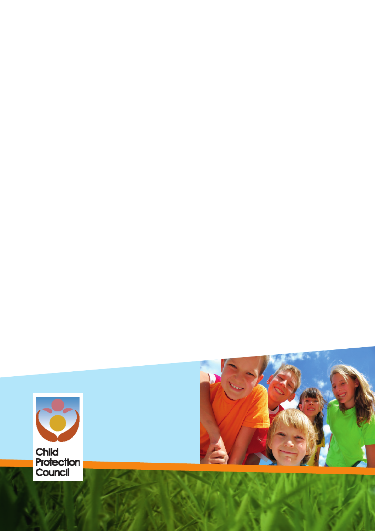

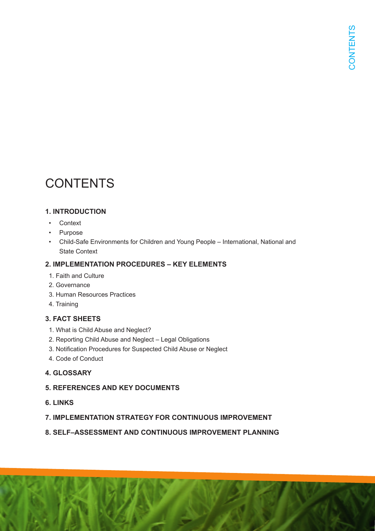# **CONTENTS**

#### **1. INTRODUCTION**

- Context
- Purpose
- Child-Safe Environments for Children and Young People International, National and State Context

#### **2. IMPLEMENTATION PROCEDURES – KEY ELEMENTS**

- 1. Faith and Culture
- 2. Governance
- 3. Human Resources Practices
- 4. Training

#### **3. FACT SHEETS**

- 1. What is Child Abuse and Neglect?
- 2. Reporting Child Abuse and Neglect Legal Obligations
- 3. Notification Procedures for Suspected Child Abuse or Neglect
- 4. Code of Conduct

#### **4. GLOSSARY**

#### **5. REFERENCES AND KEY DOCUMENTS**

**6. LINKS**

#### **7. IMPLEMENTATION STRATEGY FOR CONTINUOUS IMPROVEMENT**

#### **8. SELF–ASSESSMENT AND CONTINUOUS IMPROVEMENT PLANNING**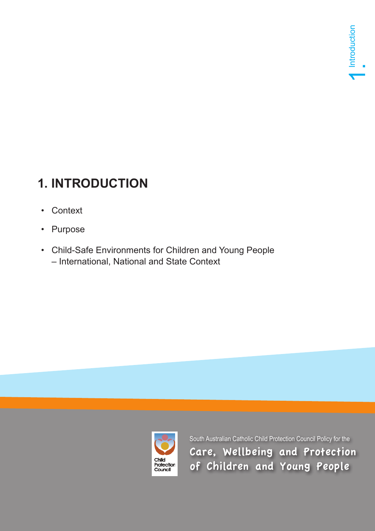# **1. INTRODUCTION**

- Context
- Purpose
- Child-Safe Environments for Children and Young People – International, National and State Context



South Australian Catholic Child Protection Council Policy for the Care, Wellbeing and Protection of Children and Young People<br>Context<br>South Australian Catholic Child Protection Council Policy for the<br>Care, Wellbeing and Protection<br>of Children and Young People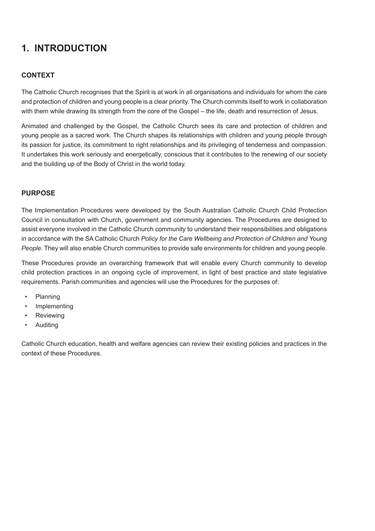### **1. INTRODUCTION**

#### **CONTEXT**

The Catholic Church recognises that the Spirit is at work in all organisations and individuals for whom the care and protection of children and young people is a clear priority. The Church commits itself to work in collaboration with them while drawing its strength from the core of the Gospel – the life, death and resurrection of Jesus.

Animated and challenged by the Gospel, the Catholic Church sees its care and protection of children and young people as a sacred work. The Church shapes its relationships with children and young people through its passion for justice, its commitment to right relationships and its privileging of tenderness and compassion. It undertakes this work seriously and energetically, conscious that it contributes to the renewing of our society and the building up of the Body of Christ in the world today.

#### **PURPOSE**

The Implementation Procedures were developed by the South Australian Catholic Church Child Protection Council in consultation with Church, government and community agencies. The Procedures are designed to assist everyone involved in the Catholic Church community to understand their responsibilities and obligations in accordance with the SA Catholic Church *Policy for the Care Wellbeing and Protection of Children and Young People*. They will also enable Church communities to provide safe environments for children and young people.

These Procedures provide an overarching framework that will enable every Church community to develop child protection practices in an ongoing cycle of improvement, in light of best practice and state legislative requirements. Parish communities and agencies will use the Procedures for the purposes of:

- Planning
- **Implementing**
- **Reviewing**
- Auditing

Catholic Church education, health and welfare agencies can review their existing policies and practices in the context of these Procedures.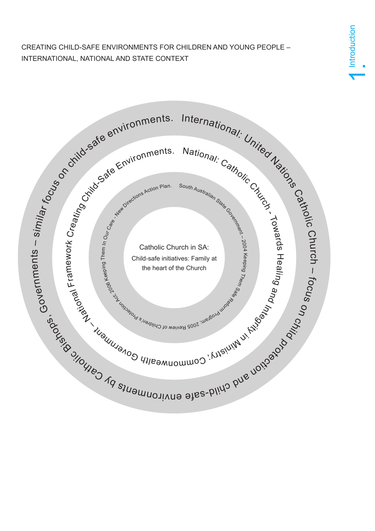CREATING CHILD-SAFE ENVIRONMENTS FOR CHILDREN AND YOUNG PEOPLE – INTERNATIONAL, NATIONAL AND STATE CONTEXT

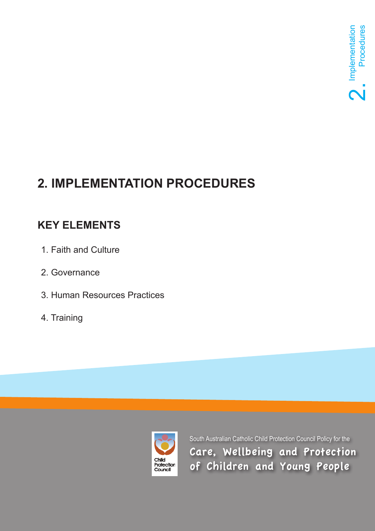# **2. IMPLEMENTATION PROCEDURES**

## **KEY ELEMENTS**

- 1. Faith and Culture
- 2. Governance
- 3. Human Resources Practices
- 4. Training



South Australian Catholic Child Protection Council Policy for the Care, Wellbeing and Protection of Children and Young People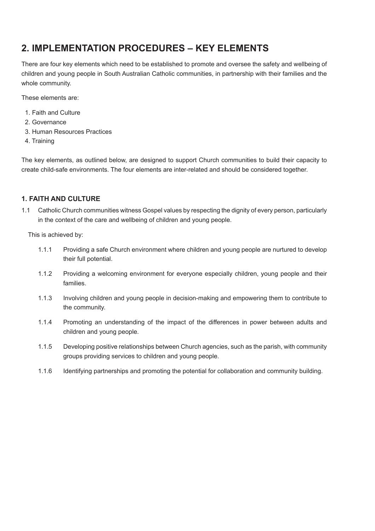### **2. IMPLEMENTATION PROCEDURES – KEY ELEMENTS**

There are four key elements which need to be established to promote and oversee the safety and wellbeing of children and young people in South Australian Catholic communities, in partnership with their families and the whole community.

These elements are:

- 1. Faith and Culture
- 2. Governance
- 3. Human Resources Practices
- 4. Training

The key elements, as outlined below, are designed to support Church communities to build their capacity to create child-safe environments. The four elements are inter-related and should be considered together.

#### **1. FAITH AND CULTURE**

1.1 Catholic Church communities witness Gospel values by respecting the dignity of every person, particularly in the context of the care and wellbeing of children and young people.

- 1.1.1 Providing a safe Church environment where children and young people are nurtured to develop their full potential.
- 1.1.2 Providing a welcoming environment for everyone especially children, young people and their families.
- 1.1.3 Involving children and young people in decision-making and empowering them to contribute to the community.
- 1.1.4 Promoting an understanding of the impact of the differences in power between adults and children and young people.
- 1.1.5 Developing positive relationships between Church agencies, such as the parish, with community groups providing services to children and young people.
- 1.1.6 Identifying partnerships and promoting the potential for collaboration and community building.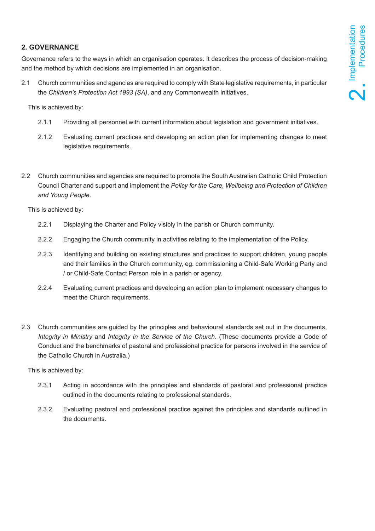#### **2. GOVERNANCE**

Governance refers to the ways in which an organisation operates. It describes the process of decision-making and the method by which decisions are implemented in an organisation.

2.1 Church communities and agencies are required to comply with State legislative requirements, in particular the *Children's Protection Act 1993 (SA)*, and any Commonwealth initiatives.

This is achieved by:

- 2.1.1 Providing all personnel with current information about legislation and government initiatives.
- 2.1.2 Evaluating current practices and developing an action plan for implementing changes to meet legislative requirements.
- 2.2 Church communities and agencies are required to promote the South Australian Catholic Child Protection Council Charter and support and implement the *Policy for the Care, Wellbeing and Protection of Children and Young People*.

This is achieved by:

- 2.2.1 Displaying the Charter and Policy visibly in the parish or Church community.
- 2.2.2 Engaging the Church community in activities relating to the implementation of the Policy.
- 2.2.3 Identifying and building on existing structures and practices to support children, young people and their families in the Church community, eg. commissioning a Child-Safe Working Party and / or Child-Safe Contact Person role in a parish or agency.
- 2.2.4 Evaluating current practices and developing an action plan to implement necessary changes to meet the Church requirements.
- 2.3 Church communities are guided by the principles and behavioural standards set out in the documents, *Integrity in Ministry* and *Integrity in the Service of the Church*. (These documents provide a Code of Conduct and the benchmarks of pastoral and professional practice for persons involved in the service of the Catholic Church in Australia.)

- 2.3.1 Acting in accordance with the principles and standards of pastoral and professional practice outlined in the documents relating to professional standards.
- 2.3.2 Evaluating pastoral and professional practice against the principles and standards outlined in the documents.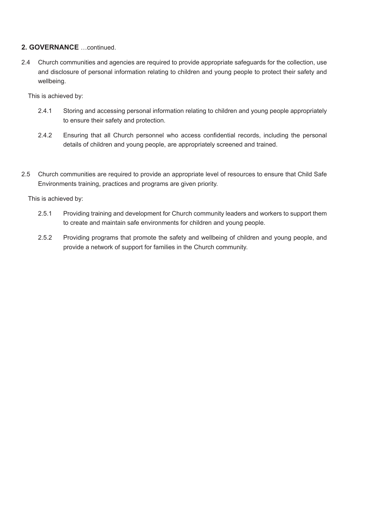#### **2. GOVERNANCE** …continued.

2.4 Church communities and agencies are required to provide appropriate safeguards for the collection, use and disclosure of personal information relating to children and young people to protect their safety and wellbeing.

This is achieved by:

- 2.4.1 Storing and accessing personal information relating to children and young people appropriately to ensure their safety and protection.
- 2.4.2 Ensuring that all Church personnel who access confidential records, including the personal details of children and young people, are appropriately screened and trained.
- 2.5 Church communities are required to provide an appropriate level of resources to ensure that Child Safe Environments training, practices and programs are given priority.

- 2.5.1 Providing training and development for Church community leaders and workers to support them to create and maintain safe environments for children and young people.
- 2.5.2 Providing programs that promote the safety and wellbeing of children and young people, and provide a network of support for families in the Church community.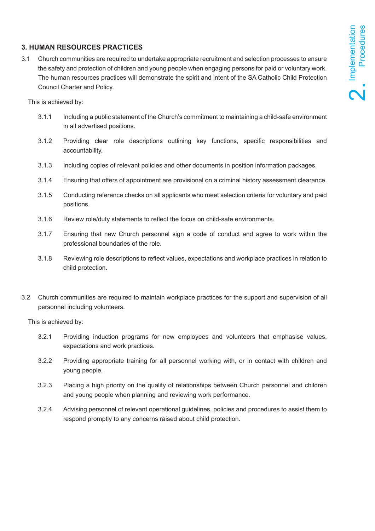#### **3. HUMAN RESOURCES PRACTICES**

3.1 Church communities are required to undertake appropriate recruitment and selection processes to ensure the safety and protection of children and young people when engaging persons for paid or voluntary work. The human resources practices will demonstrate the spirit and intent of the SA Catholic Child Protection Council Charter and Policy.

This is achieved by:

- 3.1.1 Including a public statement of the Church's commitment to maintaining a child-safe environment in all advertised positions.
- 3.1.2 Providing clear role descriptions outlining key functions, specific responsibilities and accountability.
- 3.1.3 Including copies of relevant policies and other documents in position information packages.
- 3.1.4 Ensuring that offers of appointment are provisional on a criminal history assessment clearance.
- 3.1.5 Conducting reference checks on all applicants who meet selection criteria for voluntary and paid positions.
- 3.1.6 Review role/duty statements to reflect the focus on child-safe environments.
- 3.1.7 Ensuring that new Church personnel sign a code of conduct and agree to work within the professional boundaries of the role.
- 3.1.8 Reviewing role descriptions to reflect values, expectations and workplace practices in relation to child protection.
- 3.2 Church communities are required to maintain workplace practices for the support and supervision of all personnel including volunteers.

- 3.2.1 Providing induction programs for new employees and volunteers that emphasise values, expectations and work practices.
- 3.2.2 Providing appropriate training for all personnel working with, or in contact with children and young people.
- 3.2.3 Placing a high priority on the quality of relationships between Church personnel and children and young people when planning and reviewing work performance.
- 3.2.4 Advising personnel of relevant operational guidelines, policies and procedures to assist them to respond promptly to any concerns raised about child protection.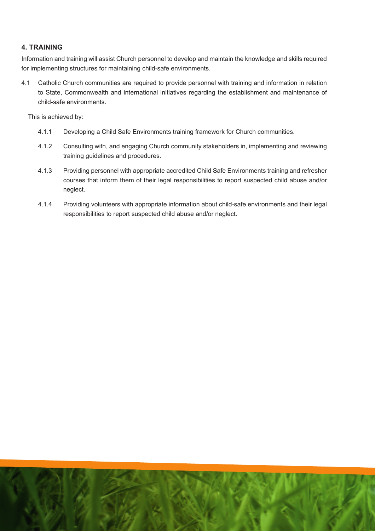#### **4. TRAINING**

Information and training will assist Church personnel to develop and maintain the knowledge and skills required for implementing structures for maintaining child-safe environments.

4.1 Catholic Church communities are required to provide personnel with training and information in relation to State, Commonwealth and international initiatives regarding the establishment and maintenance of child-safe environments.

- 4.1.1 Developing a Child Safe Environments training framework for Church communities.
- 4.1.2 Consulting with, and engaging Church community stakeholders in, implementing and reviewing training guidelines and procedures.
- 4.1.3 Providing personnel with appropriate accredited Child Safe Environments training and refresher courses that inform them of their legal responsibilities to report suspected child abuse and/or neglect.
- 4.1.4 Providing volunteers with appropriate information about child-safe environments and their legal responsibilities to report suspected child abuse and/or neglect.

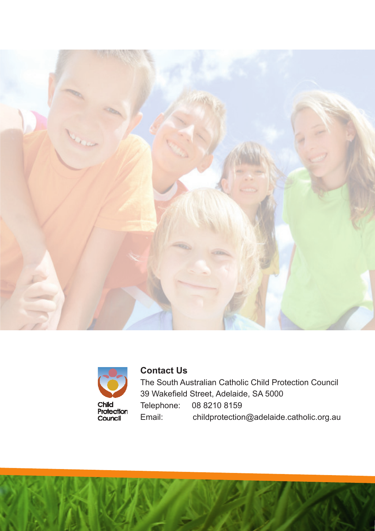



### **Contact Us**

The South Australian Catholic Child Protection Council 39 Wakefield Street, Adelaide, SA 5000 Telephone: 08 8210 8159 Email: childprotection@adelaide.catholic.org.au